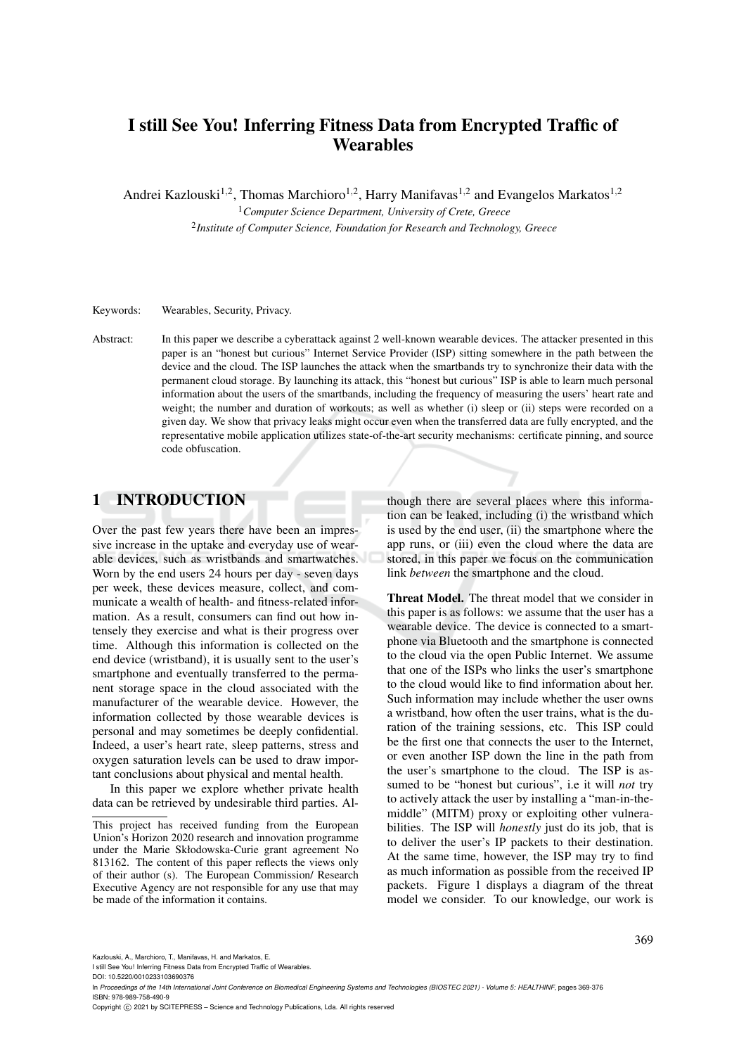# I still See You! Inferring Fitness Data from Encrypted Traffic of **Wearables**

Andrei Kazlouski<sup>1,2</sup>, Thomas Marchioro<sup>1,2</sup>, Harry Manifavas<sup>1,2</sup> and Evangelos Markatos<sup>1,2</sup>

<sup>1</sup>*Computer Science Department, University of Crete, Greece* 2 *Institute of Computer Science, Foundation for Research and Technology, Greece*

Keywords: Wearables, Security, Privacy.

Abstract: In this paper we describe a cyberattack against 2 well-known wearable devices. The attacker presented in this paper is an "honest but curious" Internet Service Provider (ISP) sitting somewhere in the path between the device and the cloud. The ISP launches the attack when the smartbands try to synchronize their data with the permanent cloud storage. By launching its attack, this "honest but curious" ISP is able to learn much personal information about the users of the smartbands, including the frequency of measuring the users' heart rate and weight; the number and duration of workouts; as well as whether (i) sleep or (ii) steps were recorded on a given day. We show that privacy leaks might occur even when the transferred data are fully encrypted, and the representative mobile application utilizes state-of-the-art security mechanisms: certificate pinning, and source code obfuscation.

# 1 INTRODUCTION

Over the past few years there have been an impressive increase in the uptake and everyday use of wearable devices, such as wristbands and smartwatches. Worn by the end users 24 hours per day - seven days per week, these devices measure, collect, and communicate a wealth of health- and fitness-related information. As a result, consumers can find out how intensely they exercise and what is their progress over time. Although this information is collected on the end device (wristband), it is usually sent to the user's smartphone and eventually transferred to the permanent storage space in the cloud associated with the manufacturer of the wearable device. However, the information collected by those wearable devices is personal and may sometimes be deeply confidential. Indeed, a user's heart rate, sleep patterns, stress and oxygen saturation levels can be used to draw important conclusions about physical and mental health.

In this paper we explore whether private health data can be retrieved by undesirable third parties. Al-

though there are several places where this information can be leaked, including (i) the wristband which is used by the end user, (ii) the smartphone where the app runs, or (iii) even the cloud where the data are stored, in this paper we focus on the communication link *between* the smartphone and the cloud.

Threat Model. The threat model that we consider in this paper is as follows: we assume that the user has a wearable device. The device is connected to a smartphone via Bluetooth and the smartphone is connected to the cloud via the open Public Internet. We assume that one of the ISPs who links the user's smartphone to the cloud would like to find information about her. Such information may include whether the user owns a wristband, how often the user trains, what is the duration of the training sessions, etc. This ISP could be the first one that connects the user to the Internet, or even another ISP down the line in the path from the user's smartphone to the cloud. The ISP is assumed to be "honest but curious", i.e it will *not* try to actively attack the user by installing a "man-in-themiddle" (MITM) proxy or exploiting other vulnerabilities. The ISP will *honestly* just do its job, that is to deliver the user's IP packets to their destination. At the same time, however, the ISP may try to find as much information as possible from the received IP packets. Figure 1 displays a diagram of the threat model we consider. To our knowledge, our work is

Kazlouski, A., Marchioro, T., Manifavas, H. and Markatos, E.

I still See You! Inferring Fitness Data from Encrypted Traffic of Wearables.

DOI: 10.5220/0010233103690376

In *Proceedings of the 14th International Joint Conference on Biomedical Engineering Systems and Technologies (BIOSTEC 2021) - Volume 5: HEALTHINF*, pages 369-376 ISBN: 978-989-758-490-9

Copyright © 2021 by SCITEPRESS - Science and Technology Publications, Lda. All rights reserved

This project has received funding from the European Union's Horizon 2020 research and innovation programme under the Marie Skłodowska-Curie grant agreement No 813162. The content of this paper reflects the views only of their author (s). The European Commission/ Research Executive Agency are not responsible for any use that may be made of the information it contains.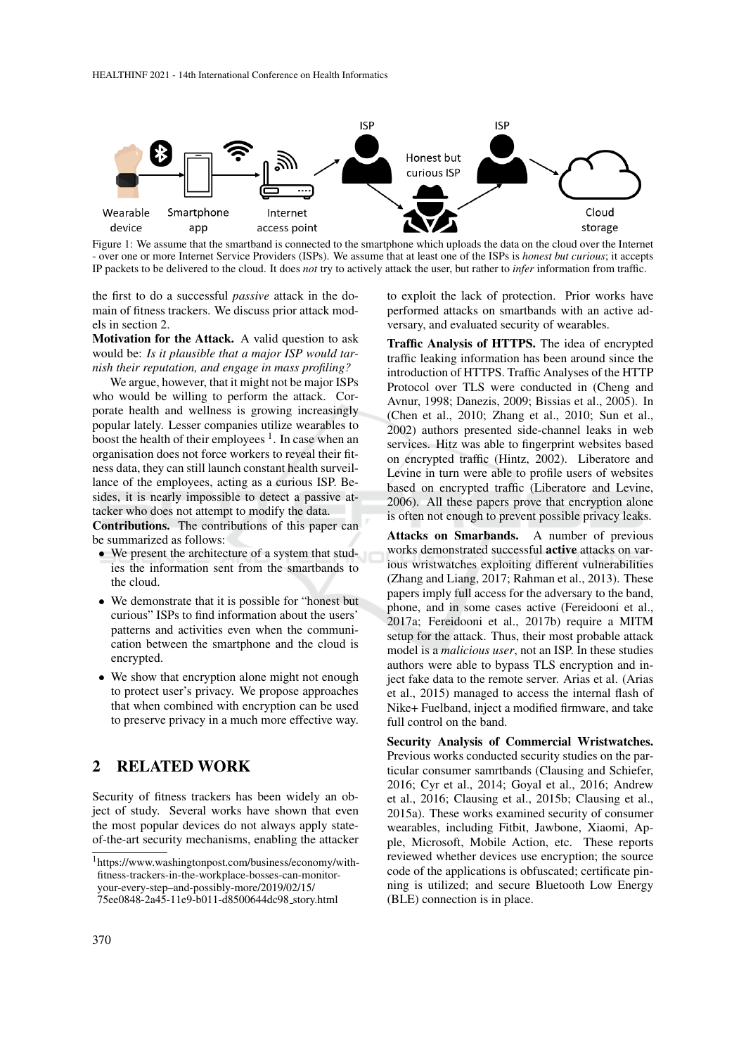

Figure 1: We assume that the smartband is connected to the smartphone which uploads the data on the cloud over the Internet - over one or more Internet Service Providers (ISPs). We assume that at least one of the ISPs is *honest but curious*; it accepts IP packets to be delivered to the cloud. It does *not* try to actively attack the user, but rather to *infer* information from traffic.

the first to do a successful *passive* attack in the domain of fitness trackers. We discuss prior attack models in section 2.

Motivation for the Attack. A valid question to ask would be: *Is it plausible that a major ISP would tarnish their reputation, and engage in mass profiling?*

We argue, however, that it might not be major ISPs who would be willing to perform the attack. Corporate health and wellness is growing increasingly popular lately. Lesser companies utilize wearables to boost the health of their employees  $<sup>1</sup>$ . In case when an</sup> organisation does not force workers to reveal their fitness data, they can still launch constant health surveillance of the employees, acting as a curious ISP. Besides, it is nearly impossible to detect a passive attacker who does not attempt to modify the data.

Contributions. The contributions of this paper can be summarized as follows:

- We present the architecture of a system that studies the information sent from the smartbands to the cloud.
- We demonstrate that it is possible for "honest but curious" ISPs to find information about the users' patterns and activities even when the communication between the smartphone and the cloud is encrypted.
- We show that encryption alone might not enough to protect user's privacy. We propose approaches that when combined with encryption can be used to preserve privacy in a much more effective way.

## 2 RELATED WORK

Security of fitness trackers has been widely an object of study. Several works have shown that even the most popular devices do not always apply stateof-the-art security mechanisms, enabling the attacker to exploit the lack of protection. Prior works have performed attacks on smartbands with an active adversary, and evaluated security of wearables.

Traffic Analysis of HTTPS. The idea of encrypted traffic leaking information has been around since the introduction of HTTPS. Traffic Analyses of the HTTP Protocol over TLS were conducted in (Cheng and Avnur, 1998; Danezis, 2009; Bissias et al., 2005). In (Chen et al., 2010; Zhang et al., 2010; Sun et al., 2002) authors presented side-channel leaks in web services. Hitz was able to fingerprint websites based on encrypted traffic (Hintz, 2002). Liberatore and Levine in turn were able to profile users of websites based on encrypted traffic (Liberatore and Levine, 2006). All these papers prove that encryption alone is often not enough to prevent possible privacy leaks.

Attacks on Smarbands. A number of previous works demonstrated successful active attacks on various wristwatches exploiting different vulnerabilities (Zhang and Liang, 2017; Rahman et al., 2013). These papers imply full access for the adversary to the band, phone, and in some cases active (Fereidooni et al., 2017a; Fereidooni et al., 2017b) require a MITM setup for the attack. Thus, their most probable attack model is a *malicious user*, not an ISP. In these studies authors were able to bypass TLS encryption and inject fake data to the remote server. Arias et al. (Arias et al., 2015) managed to access the internal flash of Nike+ Fuelband, inject a modified firmware, and take full control on the band.

Security Analysis of Commercial Wristwatches. Previous works conducted security studies on the particular consumer samrtbands (Clausing and Schiefer, 2016; Cyr et al., 2014; Goyal et al., 2016; Andrew et al., 2016; Clausing et al., 2015b; Clausing et al., 2015a). These works examined security of consumer wearables, including Fitbit, Jawbone, Xiaomi, Apple, Microsoft, Mobile Action, etc. These reports reviewed whether devices use encryption; the source code of the applications is obfuscated; certificate pinning is utilized; and secure Bluetooth Low Energy (BLE) connection is in place.

<sup>1</sup>https://www.washingtonpost.com/business/economy/withfitness-trackers-in-the-workplace-bosses-can-monitoryour-every-step–and-possibly-more/2019/02/15/

<sup>75</sup>ee0848-2a45-11e9-b011-d8500644dc98 story.html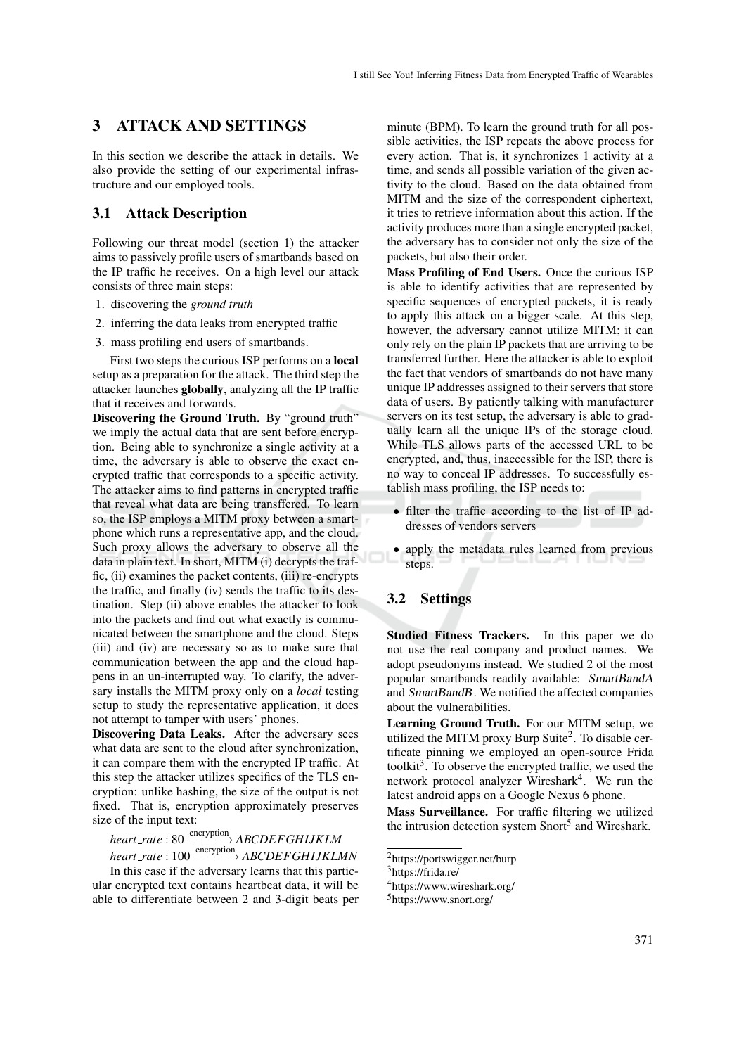# 3 ATTACK AND SETTINGS

In this section we describe the attack in details. We also provide the setting of our experimental infrastructure and our employed tools.

## 3.1 Attack Description

Following our threat model (section 1) the attacker aims to passively profile users of smartbands based on the IP traffic he receives. On a high level our attack consists of three main steps:

- 1. discovering the *ground truth*
- 2. inferring the data leaks from encrypted traffic
- 3. mass profiling end users of smartbands.

First two steps the curious ISP performs on a local setup as a preparation for the attack. The third step the attacker launches globally, analyzing all the IP traffic that it receives and forwards.

Discovering the Ground Truth. By "ground truth" we imply the actual data that are sent before encryption. Being able to synchronize a single activity at a time, the adversary is able to observe the exact encrypted traffic that corresponds to a specific activity. The attacker aims to find patterns in encrypted traffic that reveal what data are being transffered. To learn so, the ISP employs a MITM proxy between a smartphone which runs a representative app, and the cloud. Such proxy allows the adversary to observe all the data in plain text. In short, MITM (i) decrypts the traffic, (ii) examines the packet contents, (iii) re-encrypts the traffic, and finally (iv) sends the traffic to its destination. Step (ii) above enables the attacker to look into the packets and find out what exactly is communicated between the smartphone and the cloud. Steps (iii) and (iv) are necessary so as to make sure that communication between the app and the cloud happens in an un-interrupted way. To clarify, the adversary installs the MITM proxy only on a *local* testing setup to study the representative application, it does not attempt to tamper with users' phones.

Discovering Data Leaks. After the adversary sees what data are sent to the cloud after synchronization, it can compare them with the encrypted IP traffic. At this step the attacker utilizes specifics of the TLS encryption: unlike hashing, the size of the output is not fixed. That is, encryption approximately preserves size of the input text:

*heart* \_rate : 80  $\xrightarrow{\text{encryption}}$  *ABCDEFGHIJKLM* 

*heart\_rate*: 100  $\xrightarrow{\text{encryption}}$  *ABCDEFGHIJKLMN* In this case if the adversary learns that this particular encrypted text contains heartbeat data, it will be able to differentiate between 2 and 3-digit beats per

minute (BPM). To learn the ground truth for all possible activities, the ISP repeats the above process for every action. That is, it synchronizes 1 activity at a time, and sends all possible variation of the given activity to the cloud. Based on the data obtained from MITM and the size of the correspondent ciphertext, it tries to retrieve information about this action. If the activity produces more than a single encrypted packet, the adversary has to consider not only the size of the packets, but also their order.

Mass Profiling of End Users. Once the curious ISP is able to identify activities that are represented by specific sequences of encrypted packets, it is ready to apply this attack on a bigger scale. At this step, however, the adversary cannot utilize MITM; it can only rely on the plain IP packets that are arriving to be transferred further. Here the attacker is able to exploit the fact that vendors of smartbands do not have many unique IP addresses assigned to their servers that store data of users. By patiently talking with manufacturer servers on its test setup, the adversary is able to gradually learn all the unique IPs of the storage cloud. While TLS allows parts of the accessed URL to be encrypted, and, thus, inaccessible for the ISP, there is no way to conceal IP addresses. To successfully establish mass profiling, the ISP needs to:

- filter the traffic according to the list of IP addresses of vendors servers
- apply the metadata rules learned from previous steps.

## 3.2 Settings

Studied Fitness Trackers. In this paper we do not use the real company and product names. We adopt pseudonyms instead. We studied 2 of the most popular smartbands readily available: SmartBandA and SmartBandB. We notified the affected companies about the vulnerabilities.

Learning Ground Truth. For our MITM setup, we utilized the MITM proxy Burp Suite<sup>2</sup>. To disable certificate pinning we employed an open-source Frida toolkit<sup>3</sup>. To observe the encrypted traffic, we used the network protocol analyzer Wireshark<sup>4</sup>. We run the latest android apps on a Google Nexus 6 phone.

Mass Surveillance. For traffic filtering we utilized the intrusion detection system Snort<sup>5</sup> and Wireshark.

<sup>4</sup>https://www.wireshark.org/

<sup>2</sup>https://portswigger.net/burp

<sup>3</sup>https://frida.re/

<sup>5</sup>https://www.snort.org/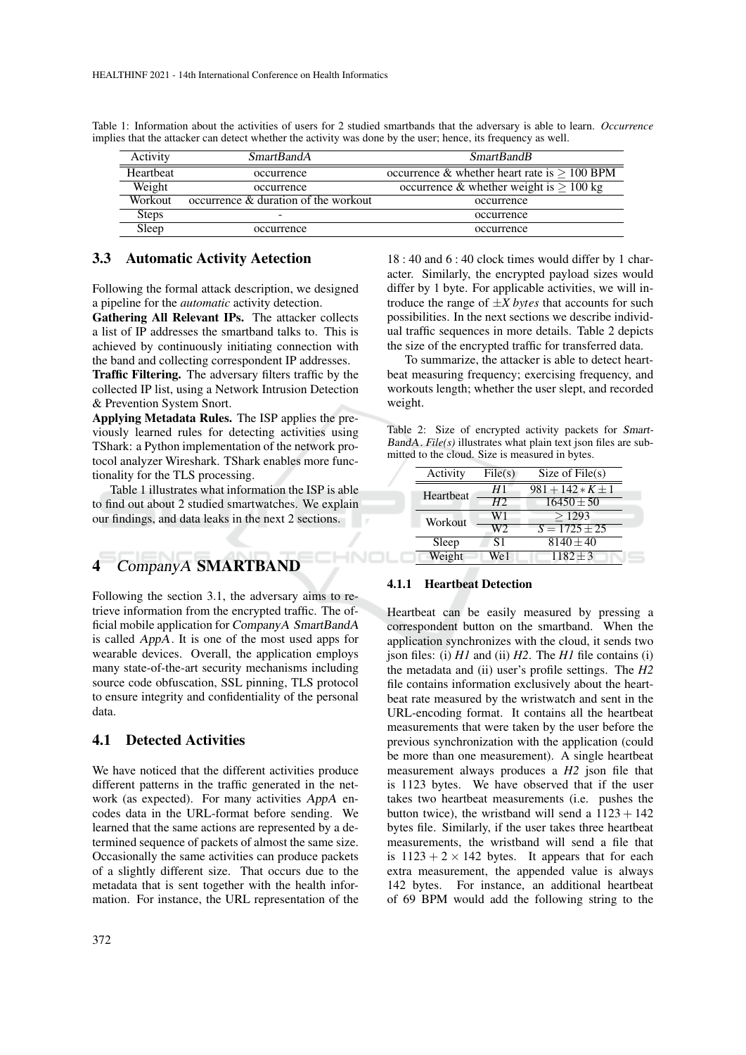| Activity     | SmartBandA                                           | <b>SmartBandB</b>                                    |
|--------------|------------------------------------------------------|------------------------------------------------------|
| Heartheat    | occurrence                                           | occurrence & whether heart rate is $> 100$ BPM       |
| Weight       | occurrence                                           | occurrence & whether weight is $\geq 100 \text{ kg}$ |
| Workout      | $\alpha$ occurrence $\alpha$ duration of the workout | occurrence                                           |
| <b>Steps</b> |                                                      | occurrence                                           |
| Sleep        | occurrence                                           | occurrence                                           |

HNOL

Table 1: Information about the activities of users for 2 studied smartbands that the adversary is able to learn. *Occurrence* implies that the attacker can detect whether the activity was done by the user; hence, its frequency as well.

## 3.3 Automatic Activity Aetection

Following the formal attack description, we designed a pipeline for the *automatic* activity detection.

Gathering All Relevant IPs. The attacker collects a list of IP addresses the smartband talks to. This is achieved by continuously initiating connection with the band and collecting correspondent IP addresses. Traffic Filtering. The adversary filters traffic by the

collected IP list, using a Network Intrusion Detection & Prevention System Snort.

Applying Metadata Rules. The ISP applies the previously learned rules for detecting activities using TShark: a Python implementation of the network protocol analyzer Wireshark. TShark enables more functionality for the TLS processing.

Table 1 illustrates what information the ISP is able to find out about 2 studied smartwatches. We explain our findings, and data leaks in the next 2 sections.

# 4 CompanyA SMARTBAND

Following the section 3.1, the adversary aims to retrieve information from the encrypted traffic. The official mobile application for CompanyA SmartBandA is called AppA. It is one of the most used apps for wearable devices. Overall, the application employs many state-of-the-art security mechanisms including source code obfuscation, SSL pinning, TLS protocol to ensure integrity and confidentiality of the personal data.

## 4.1 Detected Activities

We have noticed that the different activities produce different patterns in the traffic generated in the network (as expected). For many activities AppA encodes data in the URL-format before sending. We learned that the same actions are represented by a determined sequence of packets of almost the same size. Occasionally the same activities can produce packets of a slightly different size. That occurs due to the metadata that is sent together with the health information. For instance, the URL representation of the

18 : 40 and 6 : 40 clock times would differ by 1 character. Similarly, the encrypted payload sizes would differ by 1 byte. For applicable activities, we will introduce the range of  $\pm X$  *bytes* that accounts for such possibilities. In the next sections we describe individual traffic sequences in more details. Table 2 depicts the size of the encrypted traffic for transferred data.

To summarize, the attacker is able to detect heartbeat measuring frequency; exercising frequency, and workouts length; whether the user slept, and recorded weight.

|  | Table 2: Size of encrypted activity packets for Smart-                |  |  |
|--|-----------------------------------------------------------------------|--|--|
|  | <i>BandA. File(s)</i> illustrates what plain text json files are sub- |  |  |
|  | mitted to the cloud. Size is measured in bytes.                       |  |  |

| Activity  | File(s)        | Size of $File(s)$     |  |
|-----------|----------------|-----------------------|--|
| Heartbeat | H 1            | $981 + 142 * K \pm 1$ |  |
|           | H <sup>2</sup> | $16450 \pm 50$        |  |
| Workout   | W1             | >1293                 |  |
|           | W2             | $S = 1725 + 25$       |  |
| Sleep     | <b>S</b> 1     | $8140 \pm 40$         |  |
| Weight    | We1            | $1182 \pm 3$          |  |

### 4.1.1 Heartbeat Detection

Heartbeat can be easily measured by pressing a correspondent button on the smartband. When the application synchronizes with the cloud, it sends two json files: (i) *H1* and (ii) *H2*. The *H1* file contains (i) the metadata and (ii) user's profile settings. The *H2* file contains information exclusively about the heartbeat rate measured by the wristwatch and sent in the URL-encoding format. It contains all the heartbeat measurements that were taken by the user before the previous synchronization with the application (could be more than one measurement). A single heartbeat measurement always produces a *H2* json file that is 1123 bytes. We have observed that if the user takes two heartbeat measurements (i.e. pushes the button twice), the wristband will send a  $1123 + 142$ bytes file. Similarly, if the user takes three heartbeat measurements, the wristband will send a file that is  $1123 + 2 \times 142$  bytes. It appears that for each extra measurement, the appended value is always 142 bytes. For instance, an additional heartbeat of 69 BPM would add the following string to the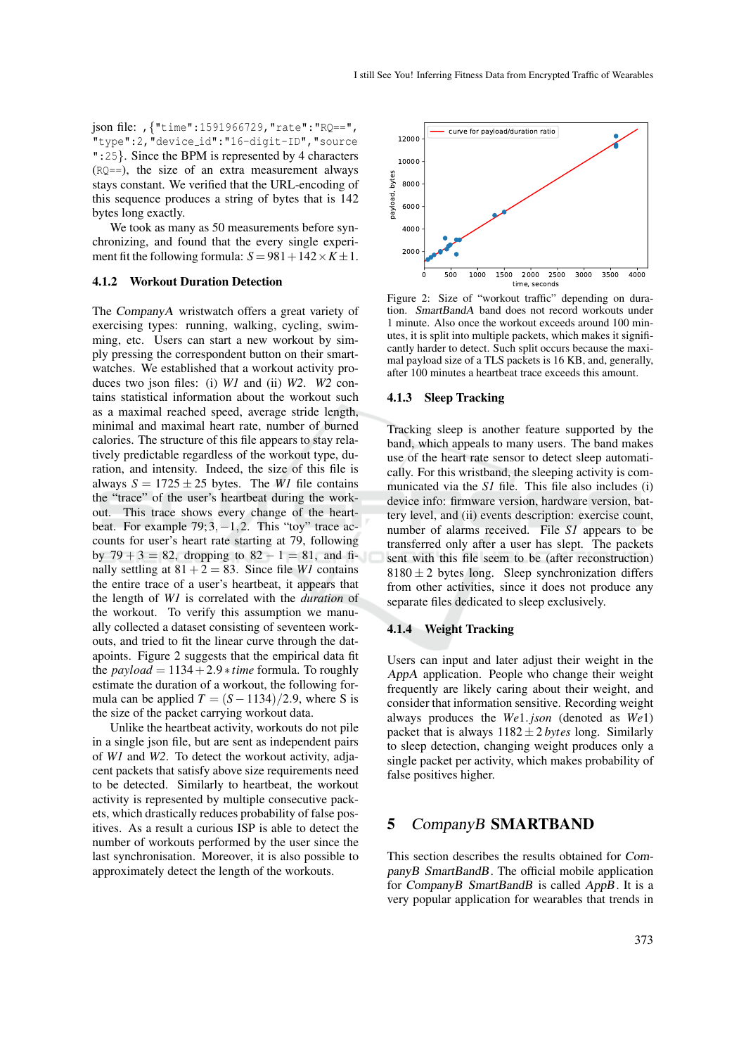json file: ,{"time":1591966729,"rate":"RQ==", "type":2,"device id":"16-digit-ID","source ":25}. Since the BPM is represented by 4 characters (RQ==), the size of an extra measurement always stays constant. We verified that the URL-encoding of this sequence produces a string of bytes that is 142 bytes long exactly.

We took as many as 50 measurements before synchronizing, and found that the every single experiment fit the following formula:  $S = 981 + 142 \times K \pm 1$ .

#### 4.1.2 Workout Duration Detection

The CompanyA wristwatch offers a great variety of exercising types: running, walking, cycling, swimming, etc. Users can start a new workout by simply pressing the correspondent button on their smartwatches. We established that a workout activity produces two json files: (i) *W1* and (ii) *W2*. *W2* contains statistical information about the workout such as a maximal reached speed, average stride length, minimal and maximal heart rate, number of burned calories. The structure of this file appears to stay relatively predictable regardless of the workout type, duration, and intensity. Indeed, the size of this file is always  $S = 1725 \pm 25$  bytes. The *W1* file contains the "trace" of the user's heartbeat during the workout. This trace shows every change of the heartbeat. For example  $79; 3, -1, 2$ . This "toy" trace accounts for user's heart rate starting at 79, following by  $79 + 3 = 82$ , dropping to  $82 - 1 = 81$ , and finally settling at  $81 + 2 = 83$ . Since file *W1* contains the entire trace of a user's heartbeat, it appears that the length of *W1* is correlated with the *duration* of the workout. To verify this assumption we manually collected a dataset consisting of seventeen workouts, and tried to fit the linear curve through the datapoints. Figure 2 suggests that the empirical data fit the  $payload = 1134 + 2.9 * time$  formula. To roughly estimate the duration of a workout, the following formula can be applied  $T = (S - 1134)/2.9$ , where S is the size of the packet carrying workout data.

Unlike the heartbeat activity, workouts do not pile in a single json file, but are sent as independent pairs of *W1* and *W2*. To detect the workout activity, adjacent packets that satisfy above size requirements need to be detected. Similarly to heartbeat, the workout activity is represented by multiple consecutive packets, which drastically reduces probability of false positives. As a result a curious ISP is able to detect the number of workouts performed by the user since the last synchronisation. Moreover, it is also possible to approximately detect the length of the workouts.



Figure 2: Size of "workout traffic" depending on duration. SmartBandA band does not record workouts under 1 minute. Also once the workout exceeds around 100 minutes, it is split into multiple packets, which makes it significantly harder to detect. Such split occurs because the maximal payload size of a TLS packets is 16 KB, and, generally, after 100 minutes a heartbeat trace exceeds this amount.

#### 4.1.3 Sleep Tracking

Tracking sleep is another feature supported by the band, which appeals to many users. The band makes use of the heart rate sensor to detect sleep automatically. For this wristband, the sleeping activity is communicated via the *S1* file. This file also includes (i) device info: firmware version, hardware version, battery level, and (ii) events description: exercise count, number of alarms received. File *S1* appears to be transferred only after a user has slept. The packets sent with this file seem to be (after reconstruction)  $8180 \pm 2$  bytes long. Sleep synchronization differs from other activities, since it does not produce any separate files dedicated to sleep exclusively.

#### 4.1.4 Weight Tracking

Users can input and later adjust their weight in the AppA application. People who change their weight frequently are likely caring about their weight, and consider that information sensitive. Recording weight always produces the *We*1. *json* (denoted as *We*1) packet that is always  $1182 \pm 2$  *bytes* long. Similarly to sleep detection, changing weight produces only a single packet per activity, which makes probability of false positives higher.

## 5 CompanyB SMARTBAND

This section describes the results obtained for CompanyB SmartBandB. The official mobile application for CompanyB SmartBandB is called AppB. It is a very popular application for wearables that trends in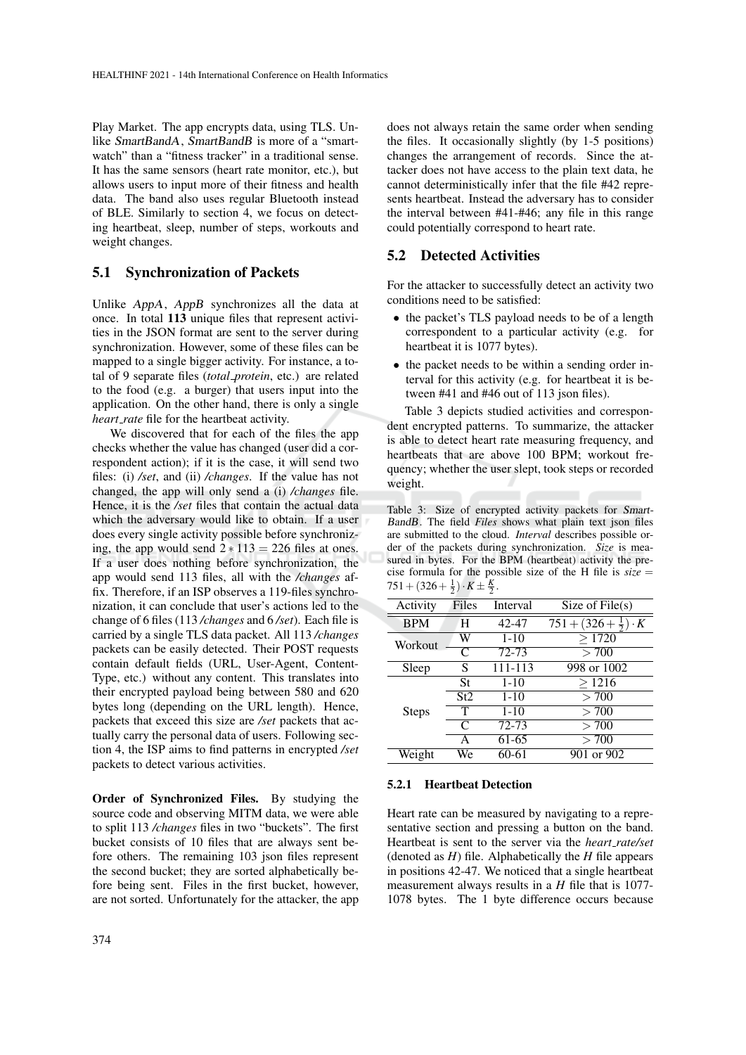Play Market. The app encrypts data, using TLS. Unlike SmartBandA, SmartBandB is more of a "smartwatch" than a "fitness tracker" in a traditional sense. It has the same sensors (heart rate monitor, etc.), but allows users to input more of their fitness and health data. The band also uses regular Bluetooth instead of BLE. Similarly to section 4, we focus on detecting heartbeat, sleep, number of steps, workouts and weight changes.

## 5.1 Synchronization of Packets

Unlike AppA, AppB synchronizes all the data at once. In total 113 unique files that represent activities in the JSON format are sent to the server during synchronization. However, some of these files can be mapped to a single bigger activity. For instance, a total of 9 separate files (*total protein*, etc.) are related to the food (e.g. a burger) that users input into the application. On the other hand, there is only a single *heart rate* file for the heartbeat activity.

We discovered that for each of the files the app checks whether the value has changed (user did a correspondent action); if it is the case, it will send two files: (i) */set*, and (ii) */changes*. If the value has not changed, the app will only send a (i) */changes* file. Hence, it is the */set* files that contain the actual data which the adversary would like to obtain. If a user does every single activity possible before synchronizing, the app would send  $2 * 113 = 226$  files at ones. If a user does nothing before synchronization, the app would send 113 files, all with the */changes* affix. Therefore, if an ISP observes a 119-files synchronization, it can conclude that user's actions led to the change of 6 files (113 */changes* and 6 */set*). Each file is carried by a single TLS data packet. All 113 */changes* packets can be easily detected. Their POST requests contain default fields (URL, User-Agent, Content-Type, etc.) without any content. This translates into their encrypted payload being between 580 and 620 bytes long (depending on the URL length). Hence, packets that exceed this size are */set* packets that actually carry the personal data of users. Following section 4, the ISP aims to find patterns in encrypted */set* packets to detect various activities.

Order of Synchronized Files. By studying the source code and observing MITM data, we were able to split 113 */changes* files in two "buckets". The first bucket consists of 10 files that are always sent before others. The remaining 103 json files represent the second bucket; they are sorted alphabetically before being sent. Files in the first bucket, however, are not sorted. Unfortunately for the attacker, the app does not always retain the same order when sending the files. It occasionally slightly (by 1-5 positions) changes the arrangement of records. Since the attacker does not have access to the plain text data, he cannot deterministically infer that the file #42 represents heartbeat. Instead the adversary has to consider the interval between #41-#46; any file in this range could potentially correspond to heart rate.

### 5.2 Detected Activities

For the attacker to successfully detect an activity two conditions need to be satisfied:

- the packet's TLS payload needs to be of a length correspondent to a particular activity (e.g. for heartbeat it is 1077 bytes).
- the packet needs to be within a sending order interval for this activity (e.g. for heartbeat it is between #41 and #46 out of 113 ison files).

Table 3 depicts studied activities and correspondent encrypted patterns. To summarize, the attacker is able to detect heart rate measuring frequency, and heartbeats that are above 100 BPM; workout frequency; whether the user slept, took steps or recorded weight.

Table 3: Size of encrypted activity packets for Smart-BandB. The field *Files* shows what plain text json files are submitted to the cloud. *Interval* describes possible order of the packets during synchronization. *Size* is measured in bytes. For the BPM (heartbeat) activity the precise formula for the possible size of the H file is  $size =$  $751 + (326 + \frac{1}{2}) \cdot K \pm \frac{K}{2}$ .

| Activity     | Files | Interval | Size of $File(s)$                        |
|--------------|-------|----------|------------------------------------------|
| <b>BPM</b>   | H     | 42-47    | $751 + (326 + \frac{1}{2})$<br>$\cdot K$ |
| Workout      | W     | $1 - 10$ | >1720                                    |
|              | C     | 72-73    | > 700                                    |
| Sleep        | S     | 111-113  | 998 or 1002                              |
|              | St    | $1 - 10$ | >1216                                    |
|              | St2   | $1 - 10$ | > 700                                    |
| <b>Steps</b> | T     | $1 - 10$ | > 700                                    |
|              | C     | 72-73    | >700                                     |
|              | A     | 61-65    | > 700                                    |
| Weight       | We    | 60-61    | 901 or 902                               |

#### 5.2.1 Heartbeat Detection

Heart rate can be measured by navigating to a representative section and pressing a button on the band. Heartbeat is sent to the server via the *heart rate/set* (denoted as *H*) file. Alphabetically the *H* file appears in positions 42-47. We noticed that a single heartbeat measurement always results in a *H* file that is 1077- 1078 bytes. The 1 byte difference occurs because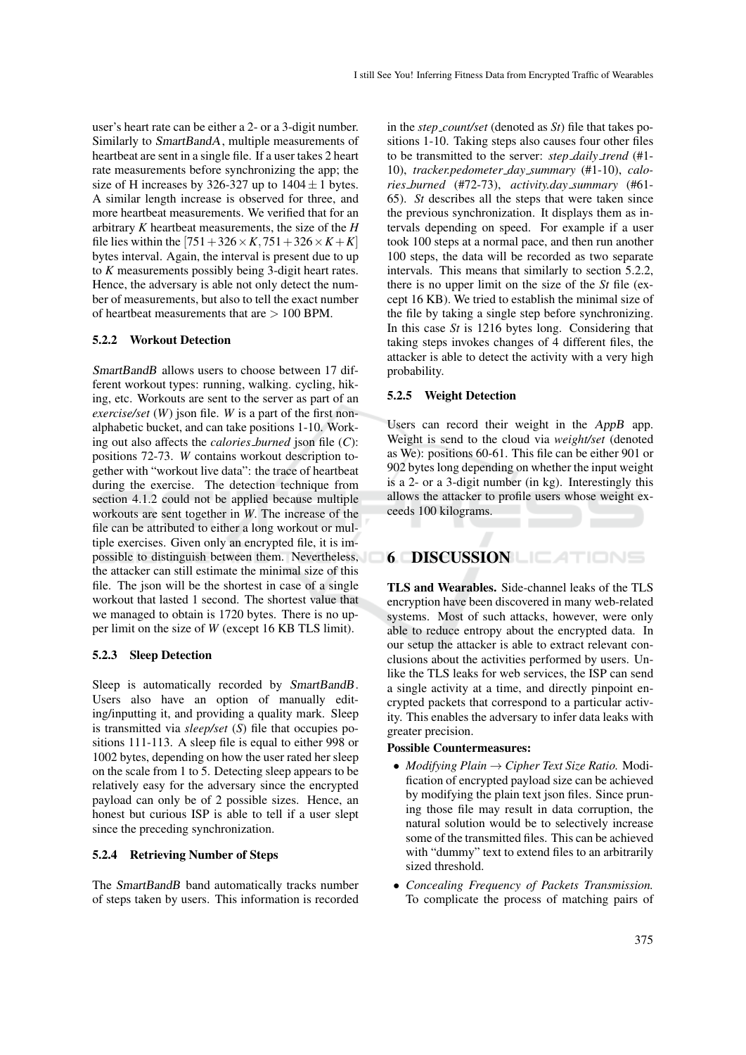user's heart rate can be either a 2- or a 3-digit number. Similarly to SmartBandA, multiple measurements of heartbeat are sent in a single file. If a user takes 2 heart rate measurements before synchronizing the app; the size of H increases by 326-327 up to  $1404 \pm 1$  bytes. A similar length increase is observed for three, and more heartbeat measurements. We verified that for an arbitrary *K* heartbeat measurements, the size of the *H* file lies within the  $[751 + 326 \times K, 751 + 326 \times K + K]$ bytes interval. Again, the interval is present due to up to *K* measurements possibly being 3-digit heart rates. Hence, the adversary is able not only detect the number of measurements, but also to tell the exact number of heartheat measurements that are  $> 100$  BPM.

#### 5.2.2 Workout Detection

SmartBandB allows users to choose between 17 different workout types: running, walking. cycling, hiking, etc. Workouts are sent to the server as part of an *exercise/set* (*W*) json file. *W* is a part of the first nonalphabetic bucket, and can take positions 1-10. Working out also affects the *calories burned* json file (*C*): positions 72-73. *W* contains workout description together with "workout live data": the trace of heartbeat during the exercise. The detection technique from section 4.1.2 could not be applied because multiple workouts are sent together in *W*. The increase of the file can be attributed to either a long workout or multiple exercises. Given only an encrypted file, it is impossible to distinguish between them. Nevertheless, the attacker can still estimate the minimal size of this file. The json will be the shortest in case of a single workout that lasted 1 second. The shortest value that we managed to obtain is 1720 bytes. There is no upper limit on the size of *W* (except 16 KB TLS limit).

#### 5.2.3 Sleep Detection

Sleep is automatically recorded by SmartBandB. Users also have an option of manually editing/inputting it, and providing a quality mark. Sleep is transmitted via *sleep/set* (*S*) file that occupies positions 111-113. A sleep file is equal to either 998 or 1002 bytes, depending on how the user rated her sleep on the scale from 1 to 5. Detecting sleep appears to be relatively easy for the adversary since the encrypted payload can only be of 2 possible sizes. Hence, an honest but curious ISP is able to tell if a user slept since the preceding synchronization.

## 5.2.4 Retrieving Number of Steps

The SmartBandB band automatically tracks number of steps taken by users. This information is recorded

in the *step count/set* (denoted as *St*) file that takes positions 1-10. Taking steps also causes four other files to be transmitted to the server: *step daily trend* (#1- 10), *tracker.pedometer day summary* (#1-10), *calories burned* (#72-73), *activity.day summary* (#61- 65). *St* describes all the steps that were taken since the previous synchronization. It displays them as intervals depending on speed. For example if a user took 100 steps at a normal pace, and then run another 100 steps, the data will be recorded as two separate intervals. This means that similarly to section 5.2.2, there is no upper limit on the size of the *St* file (except 16 KB). We tried to establish the minimal size of the file by taking a single step before synchronizing. In this case *St* is 1216 bytes long. Considering that taking steps invokes changes of 4 different files, the attacker is able to detect the activity with a very high probability.

#### 5.2.5 Weight Detection

Users can record their weight in the AppB app. Weight is send to the cloud via *weight/set* (denoted as We): positions 60-61. This file can be either 901 or 902 bytes long depending on whether the input weight is a 2- or a 3-digit number (in kg). Interestingly this allows the attacker to profile users whose weight exceeds 100 kilograms.

# 6 DISCUSSION LIEATIONS

TLS and Wearables. Side-channel leaks of the TLS encryption have been discovered in many web-related systems. Most of such attacks, however, were only able to reduce entropy about the encrypted data. In our setup the attacker is able to extract relevant conclusions about the activities performed by users. Unlike the TLS leaks for web services, the ISP can send a single activity at a time, and directly pinpoint encrypted packets that correspond to a particular activity. This enables the adversary to infer data leaks with greater precision.

#### Possible Countermeasures:

- *Modifying Plain* → *Cipher Text Size Ratio.* Modification of encrypted payload size can be achieved by modifying the plain text json files. Since pruning those file may result in data corruption, the natural solution would be to selectively increase some of the transmitted files. This can be achieved with "dummy" text to extend files to an arbitrarily sized threshold.
- *Concealing Frequency of Packets Transmission.* To complicate the process of matching pairs of